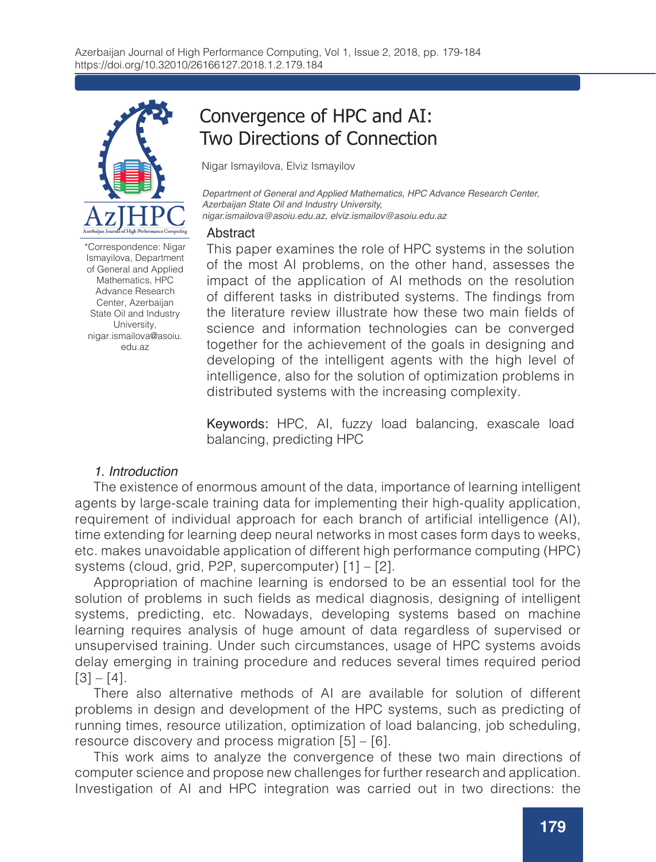

\*Correspondence: Nigar Ismayilova, Department of General and Applied Mathematics, HPC Advance Research Center, Azerbaijan State Oil and Industry University, nigar.ismailova@asoiu. edu.az

# Convergence of HPC and AI: Two Directions of Connection

Nigar Ismayilova, Elviz Ismayilov

*Department of General and Applied Mathematics, HPC Advance Research Center, Azerbaijan State Oil and Industry University, nigar.ismailova@asoiu.edu.az, elviz.ismailov@asoiu.edu.az* 

#### **Abstract**

This paper examines the role of HPC systems in the solution of the most AI problems, on the other hand, assesses the impact of the application of AI methods on the resolution of different tasks in distributed systems. The findings from the literature review illustrate how these two main fields of science and information technologies can be converged together for the achievement of the goals in designing and developing of the intelligent agents with the high level of intelligence, also for the solution of optimization problems in distributed systems with the increasing complexity.

Keywords: HPC, AI, fuzzy load balancing, exascale load balancing, predicting HPC

## *1. Introduction*

The existence of enormous amount of the data, importance of learning intelligent agents by large-scale training data for implementing their high-quality application, requirement of individual approach for each branch of artificial intelligence (AI), time extending for learning deep neural networks in most cases form days to weeks, etc. makes unavoidable application of different high performance computing (HPC) systems (cloud, grid, P2P, supercomputer) [1] – [2].

Appropriation of machine learning is endorsed to be an essential tool for the solution of problems in such fields as medical diagnosis, designing of intelligent systems, predicting, etc. Nowadays, developing systems based on machine learning requires analysis of huge amount of data regardless of supervised or unsupervised training. Under such circumstances, usage of HPC systems avoids delay emerging in training procedure and reduces several times required period  $[3] - [4]$ .

There also alternative methods of AI are available for solution of different problems in design and development of the HPC systems, such as predicting of running times, resource utilization, optimization of load balancing, job scheduling, resource discovery and process migration [5] – [6].

This work aims to analyze the convergence of these two main directions of computer science and propose new challenges for further research and application. Investigation of AI and HPC integration was carried out in two directions: the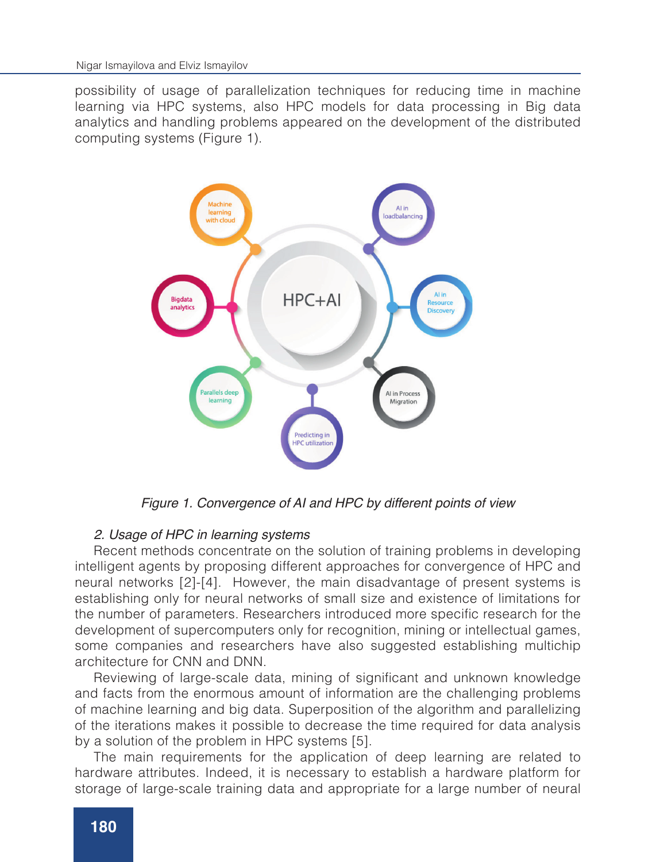possibility of usage of parallelization techniques for reducing time in machine learning via HPC systems, also HPC models for data processing in Big data analytics and handling problems appeared on the development of the distributed computing systems (Figure 1).



*Figure 1. Convergence of AI and HPC by different points of view*

#### *2. Usage of HPC in learning systems*

Recent methods concentrate on the solution of training problems in developing intelligent agents by proposing different approaches for convergence of HPC and neural networks [2]-[4]. However, the main disadvantage of present systems is establishing only for neural networks of small size and existence of limitations for the number of parameters. Researchers introduced more specific research for the development of supercomputers only for recognition, mining or intellectual games, some companies and researchers have also suggested establishing multichip architecture for CNN and DNN.

Reviewing of large-scale data, mining of significant and unknown knowledge and facts from the enormous amount of information are the challenging problems of machine learning and big data. Superposition of the algorithm and parallelizing of the iterations makes it possible to decrease the time required for data analysis by a solution of the problem in HPC systems [5].

The main requirements for the application of deep learning are related to hardware attributes. Indeed, it is necessary to establish a hardware platform for storage of large-scale training data and appropriate for a large number of neural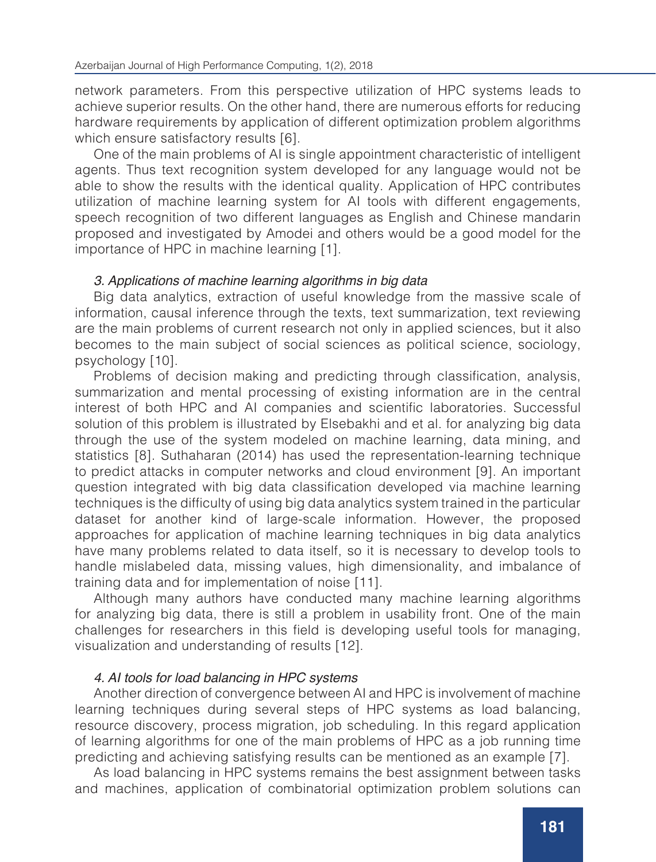network parameters. From this perspective utilization of HPC systems leads to achieve superior results. On the other hand, there are numerous efforts for reducing hardware requirements by application of different optimization problem algorithms which ensure satisfactory results [6].

One of the main problems of AI is single appointment characteristic of intelligent agents. Thus text recognition system developed for any language would not be able to show the results with the identical quality. Application of HPC contributes utilization of machine learning system for AI tools with different engagements, speech recognition of two different languages as English and Chinese mandarin proposed and investigated by Amodei and others would be a good model for the importance of HPC in machine learning [1].

# *3. Applications of machine learning algorithms in big data*

Big data analytics, extraction of useful knowledge from the massive scale of information, causal inference through the texts, text summarization, text reviewing are the main problems of current research not only in applied sciences, but it also becomes to the main subject of social sciences as political science, sociology, psychology [10].

Problems of decision making and predicting through classification, analysis, summarization and mental processing of existing information are in the central interest of both HPC and AI companies and scientific laboratories. Successful solution of this problem is illustrated by Elsebakhi and et al. for analyzing big data through the use of the system modeled on machine learning, data mining, and statistics [8]. Suthaharan (2014) has used the representation-learning technique to predict attacks in computer networks and cloud environment [9]. An important question integrated with big data classification developed via machine learning techniques is the difficulty of using big data analytics system trained in the particular dataset for another kind of large-scale information. However, the proposed approaches for application of machine learning techniques in big data analytics have many problems related to data itself, so it is necessary to develop tools to handle mislabeled data, missing values, high dimensionality, and imbalance of training data and for implementation of noise [11].

Although many authors have conducted many machine learning algorithms for analyzing big data, there is still a problem in usability front. One of the main challenges for researchers in this field is developing useful tools for managing, visualization and understanding of results [12].

# *4. AI tools for load balancing in HPC systems*

Another direction of convergence between AI and HPC is involvement of machine learning techniques during several steps of HPC systems as load balancing, resource discovery, process migration, job scheduling. In this regard application of learning algorithms for one of the main problems of HPC as a job running time predicting and achieving satisfying results can be mentioned as an example [7].

As load balancing in HPC systems remains the best assignment between tasks and machines, application of combinatorial optimization problem solutions can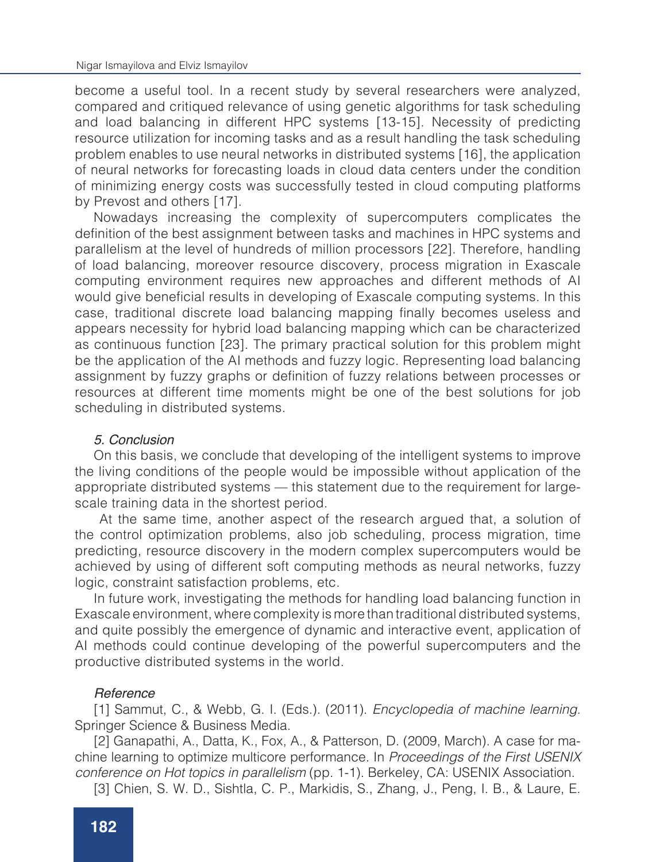become a useful tool. In a recent study by several researchers were analyzed, compared and critiqued relevance of using genetic algorithms for task scheduling and load balancing in different HPC systems [13-15]. Necessity of predicting resource utilization for incoming tasks and as a result handling the task scheduling problem enables to use neural networks in distributed systems [16], the application of neural networks for forecasting loads in cloud data centers under the condition of minimizing energy costs was successfully tested in cloud computing platforms by Prevost and others [17].

Nowadays increasing the complexity of supercomputers complicates the definition of the best assignment between tasks and machines in HPC systems and parallelism at the level of hundreds of million processors [22]. Therefore, handling of load balancing, moreover resource discovery, process migration in Exascale computing environment requires new approaches and different methods of AI would give beneficial results in developing of Exascale computing systems. In this case, traditional discrete load balancing mapping finally becomes useless and appears necessity for hybrid load balancing mapping which can be characterized as continuous function [23]. The primary practical solution for this problem might be the application of the AI methods and fuzzy logic. Representing load balancing assignment by fuzzy graphs or definition of fuzzy relations between processes or resources at different time moments might be one of the best solutions for job scheduling in distributed systems.

## *5. Conclusion*

On this basis, we conclude that developing of the intelligent systems to improve the living conditions of the people would be impossible without application of the appropriate distributed systems — this statement due to the requirement for largescale training data in the shortest period.

 At the same time, another aspect of the research argued that, a solution of the control optimization problems, also job scheduling, process migration, time predicting, resource discovery in the modern complex supercomputers would be achieved by using of different soft computing methods as neural networks, fuzzy logic, constraint satisfaction problems, etc.

In future work, investigating the methods for handling load balancing function in Exascale environment, where complexity is more than traditional distributed systems, and quite possibly the emergence of dynamic and interactive event, application of AI methods could continue developing of the powerful supercomputers and the productive distributed systems in the world.

## *Reference*

[1] Sammut, C., & Webb, G. I. (Eds.). (2011). *Encyclopedia of machine learning.* Springer Science & Business Media.

[2] Ganapathi, A., Datta, K., Fox, A., & Patterson, D. (2009, March). A case for machine learning to optimize multicore performance. In *Proceedings of the First USENIX conference on Hot topics in parallelism* (pp. 1-1). Berkeley, CA: USENIX Association.

[3] Chien, S. W. D., Sishtla, C. P., Markidis, S., Zhang, J., Peng, I. B., & Laure, E.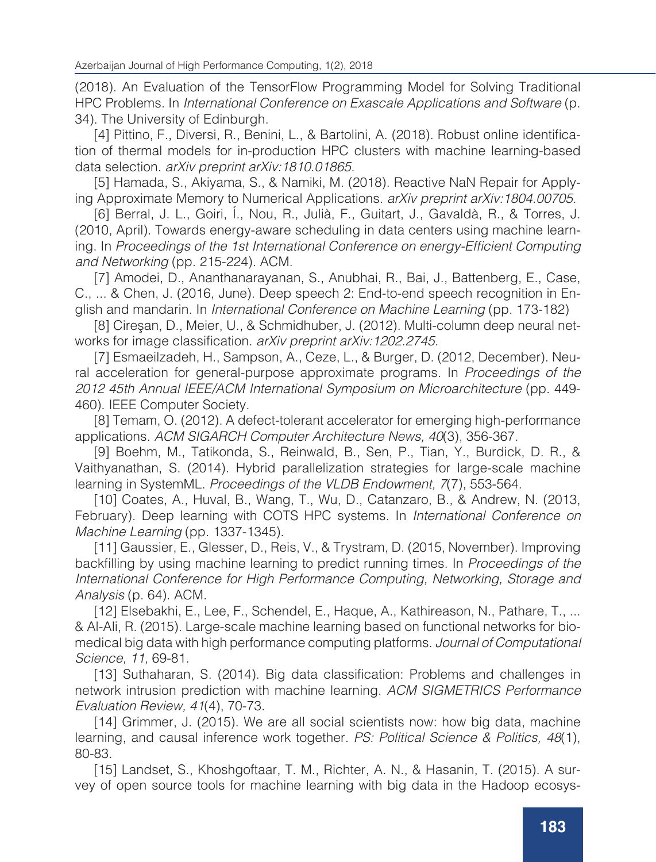(2018). An Evaluation of the TensorFlow Programming Model for Solving Traditional HPC Problems. In *International Conference on Exascale Applications and Software* (p. 34). The University of Edinburgh.

[4] Pittino, F., Diversi, R., Benini, L., & Bartolini, A. (2018). Robust online identification of thermal models for in-production HPC clusters with machine learning-based data selection. *arXiv preprint arXiv:1810.01865.*

[5] Hamada, S., Akiyama, S., & Namiki, M. (2018). Reactive NaN Repair for Applying Approximate Memory to Numerical Applications. *arXiv preprint arXiv:1804.00705.*

[6] Berral, J. L., Goiri, Í., Nou, R., Julià, F., Guitart, J., Gavaldà, R., & Torres, J. (2010, April). Towards energy-aware scheduling in data centers using machine learning. In Proceedings of the 1st International Conference on energy-Efficient Computing *and Networking* (pp. 215-224). ACM.

[7] Amodei, D., Ananthanarayanan, S., Anubhai, R., Bai, J., Battenberg, E., Case, C., ... & Chen, J. (2016, June). Deep speech 2: End-to-end speech recognition in English and mandarin. In *International Conference on Machine Learning* (pp. 173-182)

[8] Cireşan, D., Meier, U., & Schmidhuber, J. (2012). Multi-column deep neural networks for image classification. *arXiv preprint arXiv:1202.2745.* 

[7] Esmaeilzadeh, H., Sampson, A., Ceze, L., & Burger, D. (2012, December). Neural acceleration for general-purpose approximate programs. In *Proceedings of the*  2012 45th Annual IEEE/ACM International Symposium on Microarchitecture (pp. 449- 460). IEEE Computer Society.

[8] Temam, O. (2012). A defect-tolerant accelerator for emerging high-performance applications. ACM SIGARCH Computer Architecture News, 40(3), 356-367.

[9] Boehm, M., Tatikonda, S., Reinwald, B., Sen, P., Tian, Y., Burdick, D. R., & Vaithyanathan, S. (2014). Hybrid parallelization strategies for large-scale machine learning in SystemML. Proceedings of the VLDB Endowment, 7(7), 553-564.

[10] Coates, A., Huval, B., Wang, T., Wu, D., Catanzaro, B., & Andrew, N. (2013, February). Deep learning with COTS HPC systems. In *International Conference on Machine Learning* (pp. 1337-1345).

[11] Gaussier, E., Glesser, D., Reis, V., & Trystram, D. (2015, November). Improving backfilling by using machine learning to predict running times. In *Proceedings of the*  International Conference for High Performance Computing, Networking, Storage and *Analysis* (p. 64). ACM.

[12] Elsebakhi, E., Lee, F., Schendel, E., Haque, A., Kathireason, N., Pathare, T., ... & Al-Ali, R. (2015). Large-scale machine learning based on functional networks for biomedical big data with high performance computing platforms. Journal of Computational Science, 11, 69-81.

[13] Suthaharan, S. (2014). Big data classification: Problems and challenges in network intrusion prediction with machine learning. *ACM SIGMETRICS Performance*  Evaluation Review, 41(4), 70-73.

[14] Grimmer, J. (2015). We are all social scientists now: how big data, machine learning, and causal inference work together. PS: Political Science & Politics, 48(1), 80-83.

[15] Landset, S., Khoshgoftaar, T. M., Richter, A. N., & Hasanin, T. (2015). A survey of open source tools for machine learning with big data in the Hadoop ecosys